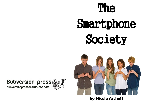The

# Smartphone Society



### **by Nicole Aschoff**

## Subversion press

subversionpress.wordpress.com



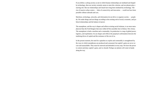If you define a cyborg society as one in which human relationships are mediated and shaped by technology, then our society certainly seems to meet this criterion, and our phones play a starring role. But our relationships and rituals have long been mediated by technology. The rise of massive urban centers — hubs of connectivity and innovation — would not have been possible without railroads and cars.

Machines, technology, networks, and information do not drive or organize society — people do. We make things and use things according to the existing web of social, economic, and political relationships and the balance of power.

The smartphone, and the way it shapes and reflects existing social relations, is no more metaphysical than the Ford Rangers that once rolled off the assembly line in Edison, New Jersey. The smartphone is both a machine and a commodity. Its production is a map of global power, logistics, and exploitation. Its use shapes and reflects the perpetual confrontation between the totalizing drives of capital and the resistance of the rest of us.

In the present moment, the need for capitalists to exploit and commodify is strengthened by the ways in which smartphones are produced and consumed, but capital's gains are never secure and unassailable. They must be renewed and defended at every step. We have the power to contest and deny capital's gains, and we should. Perhaps our phones will come in handy along the way.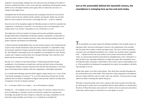employees, and increasingly, holding even a low-paid, precarious job hinges on the ability to be always available and ready to work. At the same time, smartphones provide people constant mobile access to the digital commons and its gauzy ethos of connectivity, but only in exchange for their digital selves.

Does the arrival of the smartphone signify the Debordian moment in which the commodity has completed its "colonization of social life"? Is it true that not only is our relationship to commodities plain to see, but that "commodities are now *all* that there is to see?"

Smartphones blur the line between production and consumption, between the social and the economic, between the pre-capitalist and the capitalist, ensuring that whether one uses their phone for work or pleasure, the outcome is increasingly the same — profit for capitalists.

This might seem a bit heavy-handed. Accessing social networks and digital connectivity through mobile phones undoubtedly has liberatory elements. Smartphones can help battle anomie and promote a sense of ambient awareness, while at the same time making it easier for people to generate and maintain real relationships.

A shared connection through digital selves can also nourish resistance to the existing hierarchy of power whose internal mechanisms isolate and silence individuals. It's impossible to imagine the protests sparked by Ferguson and police brutality without smartphones and social media. And ultimately, most people are not yet compelled to use smartphones for work, and they certainly aren't required to perform their selves through technology. Most could throw their phones into the sea tomorrow if they wished.

But they won't. People love their hand machines. Communicating primarily through smartphones is fast becoming an accepted norm, and more and more rituals are becoming technologically mediated. Constant connection to the networks and information we call cyberspace is becoming central to identity. Why this is happening is a labyrinthine speculation.

**T** he automobile was in many respects the defining commodity of the twentieth century. Its importance didn't stem from technological virtuosity or the sophistication of the assembly line, but rather from an ability to reflect and shape society. The ways in which we produced, consumed, used, and regulated automobiles were a window into twentieth-century capitalism itself — a glimpse into how the social, political, and economic intersected and collided. Today, in a period characterized by financialization and globalization, where "information" is king, the idea of any commodity defining an era might seem quaint. But commodities are no less important today, and people's relationships to them remain central to understanding society. If the automobile was fundamental to grasping the last century, the smartphone is the defining commodity of our era.

Is it, as media and technology expert Ken Hillis suggests, simply another way to "stave off the Void and the meaningless of existence?" Or, as novelist and professor Roxane Gay recently pondered, does our ability to manipulate our digital avatars provide a balm for our deep sense of impotence in the face of injustice and hate?

> What does it mean that people seem to have a phone in their hand or pocket everywhere they go, all day long? To make sense of our purported collective phone addiction, we should follow the advice of Harry Braverman, and examine the "machine on the one side and social relations on the other, and the manner in which these two come together in society."

Or — as tech guru Amber Case wonders — are we all turning into cyborgs?

Probably not — but it depends on how you define cyborg. If a cyborg is a human who uses a piece of technology or a machine to restore lost functions or enhance her capacities and knowledge, then people have been cyborgs for a long time, and using a smartphone is no different than using a prosthetic arm, driving a car, or working on an assembly line.

#### **Just as the automobile defined the twentieth century, the smartphone is reshaping how we live and work today.**

People today spend a lot of time on their phones. They check them constantly throughout the day and keep them close to their bodies. They sleep next to them, bring them to the bathroom, and stare at them while they walk, eat, study, work, wait, and drive. Twenty percent of young adults even admit to checking their phones during sex.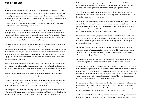#### *Hand Machines*

Apple insiders refer to FoxConn's assembly city in Shenzhen as Mordor — J. R. R. Tolkien's Middle Earth hellhole. As a spate of suicides in 2010 tragicallyrevealed, the moniker is only a slight exaggeration of the factories in which young Chinese workers assemble iPhones. Apple's supply chain links colonies of software engineers with hundreds of component suppliers in North America, Europe, and East Asia — Gorilla Glass from Kentucky, motion coprocessors from the Netherlands, camera chips from Taiwan, and transmit modules from Costa Rica funnel into dozens of assembly plants in China.

Capitalism's simultaneously creative and destructive tendencies spur constant changes in global production networks, and within these networks, new configurations of corporate and state power. In the old days, producer-driven supply chains, exemplified by industries like auto and steel, were dominant. People like Lee Iacocca and Boeing legend Bill Allen decided what to make, where to make it, and how much to sell it for.

But as the economic and political contradictions of the postwar boom heightened in the 1960s and '70s, more and more countries in the Global South adopted export-oriented strategies to achieve their development goals. A new type of supply chain emerged (particularly in light industries like apparel, toys, and electronics) in which retailers, rather than manufacturers, held the reins. In these buyer-driven models, companies like Nike, Liz Claiborne, and Walmart design goods, name their price to manufacturers, and often own little more in the way of production than their lucrative brands.

Power and governance are located at multiple points in the smartphone chain, and production and design are deeply integrated at the global scale. But the new configurations of power tend to reinforce existing wealth hierarchies: poor and middle-income countries try desperately to move into more lucrative nodes through infrastructure development and trade deals, but upgrading opportunities are few and far between, and the global nature of production makes struggles by workers to improve conditions and wages extremely difficult.

Congolese coltan miners are separated from Nokia executives by more than an ocean — they are divided by history and politics, by their country's relationship to finance, and by decadesold development barriers, many of which are rooted in colonialism.

The smartphone value chain is a useful map of global exploitation, trade politics, uneven development, and logistical prowess, but the deeper significance of the device lies elsewhere. To discover the more subtle shifts in accumulation that are illustrated and facilitated by the

At the same time, norms regarding the organization of work have also shifted. Temporary, project-oriented employment models are proliferating. Employers are no longer expected to provide job security or regular hours, and employees no longer expect those things.

But the degradation of work is not a given. Increasing exploitation and immiseration are tendencies, not fixed outcomes ordained by the rules of capitalism. They are the result of battles lost by workers and won by capitalists.

The ubiquitous use of smartphones to extend the workday and expand the market for shit jobs is a result of the weakness of both workers and working-class movements. The compulsion and willingness of increasing numbers of workers to engage with their employers through their phones normalizes and justifies the use of smartphones as a tool of exploitation, and solidifies constant availability as a requirement for earning a wage.

Apart from the Great Recession, corporate profit rates have steadily climbed since the late eighties, and not only as a result of capital (and the state) rolling back the gains of the labor movement. The reach of global markets has widened and deepened, and the development of new commodities has grown apace.

The expansion and reproduction of capital is dependent on the development of these new commodities, many of which emerge from capital's incessant drive to enclose new spheres of social life for profit, or as political economist Massimo De Angelis says, to "put [these spheres] to work for [capital's] priorities and drives."

The smartphone is central to this process. It provides a physical mechanism to allow constant access to our digital selves and opens a nearly uncharted frontier of commodification.

Individuals don't get paid in wages for creating and maintaining digital selves — they get paid in the satisfaction of participating in rituals, and the control afforded them over their social interactions. They get paid in the feeling of floating in the vast virtual connectivity, even as their hand machines mediate social bonds, helping people imagine togetherness while keeping them separate as distinct productive entities. The voluntary nature of these new rituals does not make them any less important, or less profitable for capital.

Braverman said that "the capitalist finds in [the] infinitely malleable character of human labor the essential resource for the expansion of his capital." The last thirty years of innovation demonstrate the truth of this statement, and the phone has emerged as one of the primary mechanisms to activate, access, and channel the malleability of human labor.

Smartphones ensure that we are producing for more and more of our waking lives. They erase the boundary between work and leisure. Employers now have nearly unlimited access to their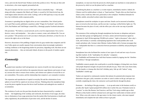views, and even the David Foster Wallace novels they profess to love. The data are then sold to advertisers, who create targeted, personalized ads.

The pool of people who have access to OKCupid's data is remarkably large — OkCupid, along with other companies like Match and Tinder, is owned by IAC/InterActiveCorp, the sixth-largest online network in the world. Crafting a self on OKCupid may or may not yield love, but it definitely yields corporate profits.

Awareness is spreading that our digital selves are now commodities. New School professor Laurel Ptak recently published a manifesto called "Wages for Facebook" and in March 2014, Paul Budnitz and Todd Berger created Ello, a fleetingly popular Facebook alternative.

Ello proclaims: "We believe a social network can be a tool for empowerment. Not a tool to deceive, coerce, and manipulate — but a place to connect, create, and celebrate life. You are not a product." Ello promises not to sell your data to third-party advertisers, at least for now. It reserves the right to do so in the future.

apital must reproduce itself and generate new sources of profit over time and space. It must constantly create and reinforce the separation between wage laborers and owners of capital, increase the value it extracts from workers, and colonize new spheres of social life to create commodities. The system, and the relationships that comprise it, are constantly in motion.

However, discussions of the peddling of digital selves by gray-market data companies and Silicon Valley giants are usually separate from conversations about increasingly exploitative working conditions or the burgeoning market for precarious, degrading work. But these are not separate phenomena — they are intricately linked, all pieces in the puzzle of modern capitalism.

#### *iCommodify*

The expansion and reproduction of capital in everyday life and the colonization of new spheres of social life by capital are not always obvious. Thinking about the smartphone helps us put the pieces together because the device itself facilitates and undergirds new models of accumulation.

The evolution of work over the past three decades has been characterized by a number of trends — the lengthening of the workday and workweek, the decline of real wages, the reduction or elimination of non-wage protections from the market (like fixed pensions or health and safety regulations), the proliferation of part-time work, and the decline of unions.

smartphone, we must turn from the process by which people use machines to create phones to the process by which we use the phone itself as a machine.

Considering the phone as a machine is, in some respects, immediately intuitive. Indeed, the Chinese word for mobile phone is *shouji*, or "hand machine." People often use their hand machines as they would any other tool, particularly in the workplace. Neoliberal demands for flexible, mobile, networked workers make them essential.

Smartphones extend the workplace in space and time. Emails can be answered at breakfast, specs reviewed on the train home, and the next day's meetings verified before lights out. The Internet becomes the place of work, with the office just a dot on the vast map of possible workspaces.

The extension of the working day through smartphones has become so ubiquitous and pernicious that labor groups are fighting back. In France, unions and tech businesses signed an agreement in April 2014recognizing 250,000 tech workers' "right to disconnect" after a day's work, and Germany is currently contemplating legislation that would prohibit after-work emails and phone calls. German Labor Minister Andrea Nahles told a German newspaper that it is "indisputable that there is a connection between permanent availability and psychological diseases."

Smartphones have also facilitated the creation of new types of work and new ways of accessing labor markets. In the "marketplace for odd jobs," companies like TaskRabbit and Postmates have built their business models by tapping into the "distributed workforce" through smartphones.

TaskRabbit connects people who would prefer to avoid the drudgery of doing their own chores with people desperate enough to do piecework odd jobs for pay. Those who want chores done, like the laundry or cleanup after their kid's birthday party, link up with "taskers" using TaskRabbit's mobile app.

Taskers are expected to continuously monitor their phones for potential jobs (response time determines who gets a job); consumers can order or cancel a tasker on the go; and upon successfully completing the chore, the contractor can be paid directly through the phone.

Postmates — the darling of the gig economy — is an up-and-comer in the business world, especially after Spark Capital pumped \$16 million into it earlier this year. Postmates tracks its "couriers" in cities like Boston, San Francisco, and New York using a mobile app on their iPhones as they hustle to deliver artisanal tacos and sugar-free vanilla lattes to homes and offices. When a new job comes in, the app routes it to the closest courier, who must respond immediately and complete the task within an hour to get paid.